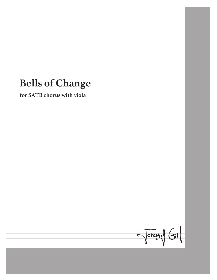# **Bells of Change**

**for SATB chorus with viola**

Verch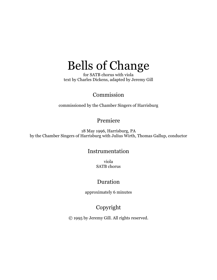# Bells of Change

for SATB chorus with viola text by Charles Dickens, adapted by Jeremy Gill

#### Commission

commissioned by the Chamber Singers of Harrisburg

#### Premiere

18 May 1996, Harrisburg, PA by the Chamber Singers of Harrisburg with Julius Wirth, Thomas Gallup, conductor

#### Instrumentation

viola SATB chorus

#### Duration

approximately 6 minutes

### Copyright

© 1995 by Jeremy Gill. All rights reserved.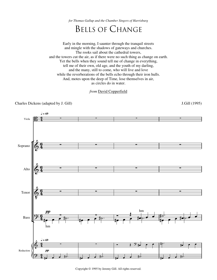*for Thomas Gallup and the Chamber Singers of Harrisburg*

### Bells of Change

Early in the morning, I saunter through the tranquil streets and mingle with the shadows of gateways and churches. The rooks sail about the cathedral towers, and the towers cut the air, as if there were no such thing as change on earth. Yet the bells when they sound tell me of change in everything, tell me of their own, old age, and the youth of my darling, and the many, still to come, who will live and love while the reverberations of the bells echo through their iron hulls. And, motes upon the deep of Time, lose themselves in air, as circles do in water.

#### *from* David Copperfield

J.Gill (1995)

Charles Dickens (adapted by J. Gill)

 $\overline{6}$ 6<br>4  $\overline{6}$ 6<br>4  $\overline{6}$ 6<br>4  $\overline{6}$ 6<br>4  $\overline{6}$ 6<br>4 .<br>6 ÿ<br>4  $\overline{6}$ 6<br>4 q **= 69**  $= 69$ Ĺ Ķ Viola Soprano Alto Tenor Bass Reduction  $\mathbb{R}$  $\begin{array}{ccccccc}\n6 & - & \end{array}$  $\begin{array}{ccccccc}\n6 & - & \end{array}$  $\Phi$  $\frac{1}{8}$  <u>ີງ:</u> hm pp  $\overline{\mathbf{r}}$  $\equiv$  $e$   $e$   $\frac{1}{2}$  $\frac{1}{2}$  $\equiv$  $e$   $e$   $\frac{1}{2}$ ⋕ - $\overset{\epsilon}{\phantom{z}}$ ≹ hm  $\frac{1}{4}$ f<br>H  $\frac{1}{\phi}$ .  $\frac{\partial}{\partial t}$   $\frac{\partial}{\partial t}$   $\frac{\partial}{\partial t}$   $\frac{\partial}{\partial t}$   $\frac{\partial}{\partial t}$ 6 pp  $\overline{\phantom{a}}$ <u>ີງ:</u>  $\frac{1}{4}$  defined the  $\frac{1}{4}$  $\overline{a}$  ,  $\overline{a}$  ,  $\overline{a}$  $\sharp$ .  $\frac{1}{4}$  defined the  $\frac{1}{4}$ 

Copyright © 1995 by Jeremy Gill. All rights reserved.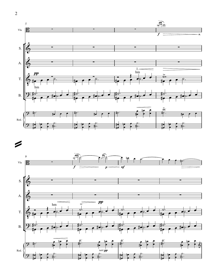

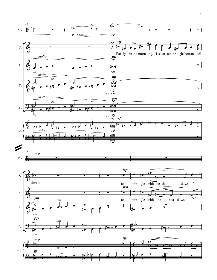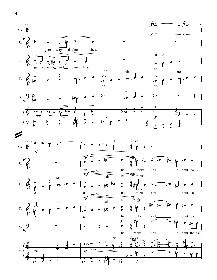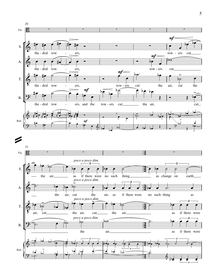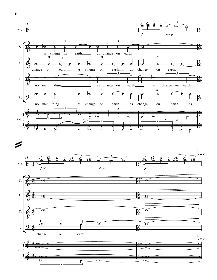



6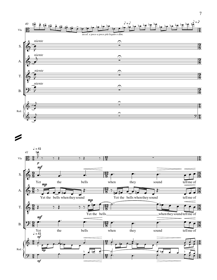

 $\blacktriangleright$ 



7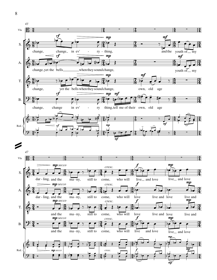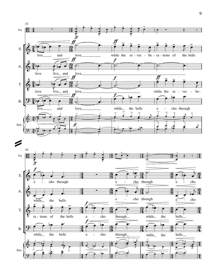

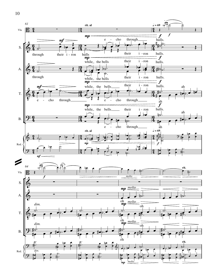

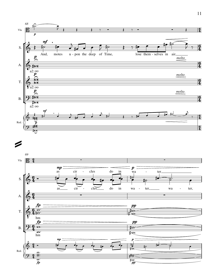